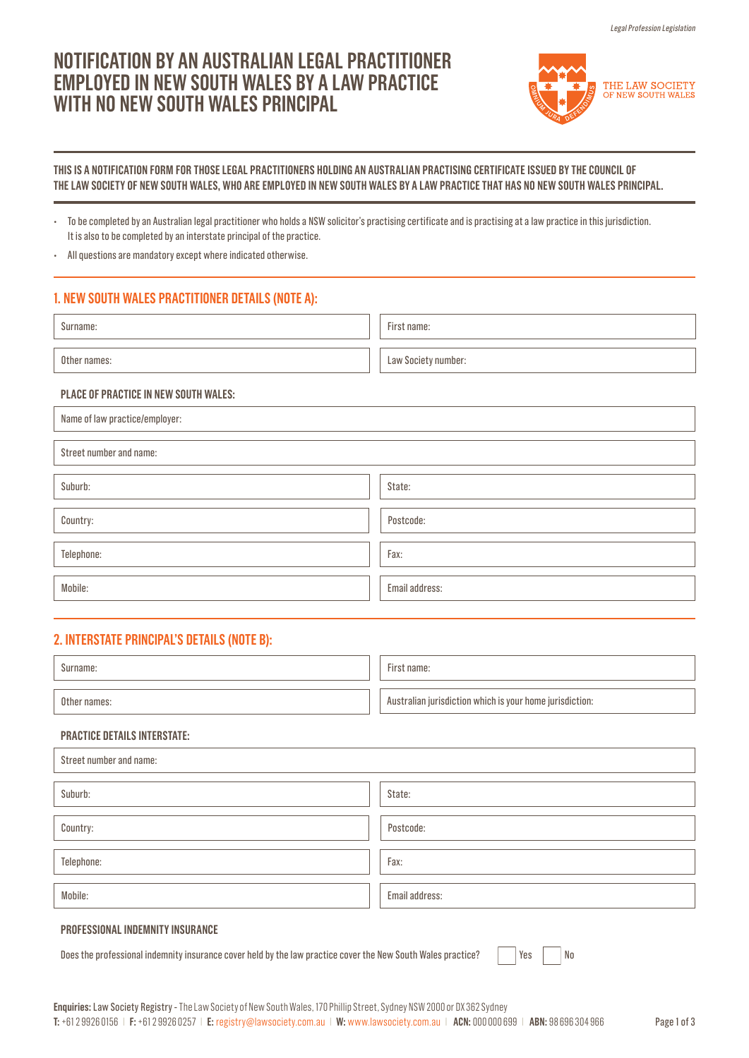# **NOTIFICATION BY AN AUSTRALIAN LEGAL PRACTITIONER EMPLOYED IN NEW SOUTH WALES BY A LAW PRACTICE WITH NO NEW SOUTH WALES PRINCIPAL**



### **THIS IS A NOTIFICATION FORM FOR THOSE LEGAL PRACTITIONERS HOLDING AN AUSTRALIAN PRACTISING CERTIFICATE ISSUED BY THE COUNCIL OF THE LAW SOCIETY OF NEW SOUTH WALES, WHO ARE EMPLOYED IN NEW SOUTH WALES BY A LAW PRACTICE THAT HAS NO NEW SOUTH WALES PRINCIPAL.**

• To be completed by an Australian legal practitioner who holds a NSW solicitor's practising certificate and is practising at a law practice in this jurisdiction. It is also to be completed by an interstate principal of the practice.

• All questions are mandatory except where indicated otherwise.

# **1. NEW SOUTH WALES PRACTITIONER DETAILS (NOTE A):**

| Surname:     | First name:         |
|--------------|---------------------|
| Other names: | Law Society number: |

### **PLACE OF PRACTICE IN NEW SOUTH WALES:**

Name of law practice/employer:

Street number and name:

| Suburb:    | State:         |
|------------|----------------|
|            |                |
| Country:   | Postcode:      |
|            |                |
| Telephone: | Fax:           |
|            |                |
| Mobile:    | Email address: |

# **2. INTERSTATE PRINCIPAL'S DETAILS (NOTE B):**

| Surname:     | First name:                                              |
|--------------|----------------------------------------------------------|
| Other names: | Australian jurisdiction which is your home jurisdiction: |

## **PRACTICE DETAILS INTERSTATE:**

| Street number and name: |                |  |
|-------------------------|----------------|--|
| Suburb:                 | State:         |  |
| Country:                | Postcode:      |  |
| Telephone:              | Fax:           |  |
| Mobile:                 | Email address: |  |
|                         |                |  |

# **PROFESSIONAL INDEMNITY INSURANCE**

Does the professional indemnity insurance cover held by the law practice cover the New South Wales practice?  $|$  Yes  $|$  No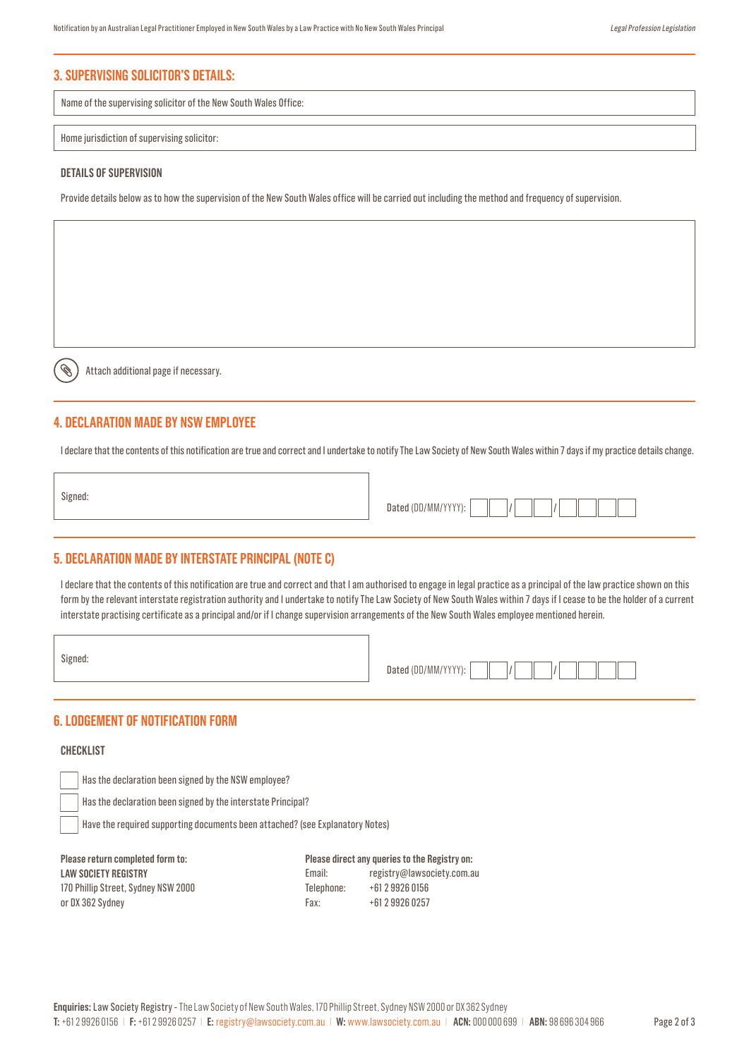# **3. SUPERVISING SOLICITOR'S DETAILS:**

Name of the supervising solicitor of the New South Wales Office:

#### Home jurisdiction of supervising solicitor:

#### **DETAILS OF SUPERVISION**

Provide details below as to how the supervision of the New South Wales office will be carried out including the method and frequency of supervision.

Attach additional page if necessary.

## **4. DECLARATION MADE BY NSW EMPLOYEE**

I declare that the contents of this notification are true and correct and I undertake to notify The Law Society of New South Wales within 7 days if my practice details change.

Signed:

Ø

### **5. DECLARATION MADE BY INTERSTATE PRINCIPAL (NOTE C)**

I declare that the contents of this notification are true and correct and that I am authorised to engage in legal practice as a principal of the law practice shown on this form by the relevant interstate registration authority and I undertake to notify The Law Society of New South Wales within 7 days if I cease to be the holder of a current interstate practising certificate as a principal and/or if I change supervision arrangements of the New South Wales employee mentioned herein.

Signed:

| Dated (DD/MM/YYYY): |  |  |
|---------------------|--|--|

## **6. LODGEMENT OF NOTIFICATION FORM**

### **CHECKLIST**

Has the declaration been signed by the NSW employee?

Has the declaration been signed by the interstate Principal?

Have the required supporting documents been attached? (see Explanatory Notes)

| Please return completed form to:    |
|-------------------------------------|
| <b>LAW SOCIETY REGISTRY</b>         |
| 170 Phillip Street, Sydney NSW 2000 |
| or DX 362 Sydney                    |

**Please direct any queries to the Registry on:**  Email: registry@lawsociety.com.au Telephone: +61 2 9926 0156 Fax: +61 2 9926 0257